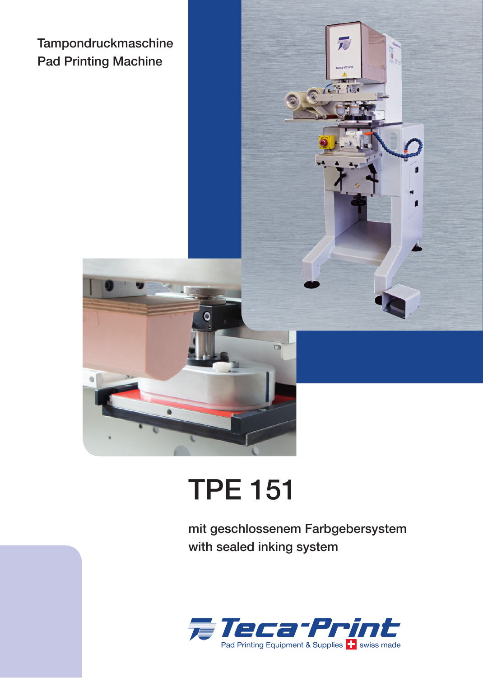Tampondruckmaschine Pad Printing Machine



## TPE 151

mit geschlossenem Farbgebersystem with sealed inking system

Gite